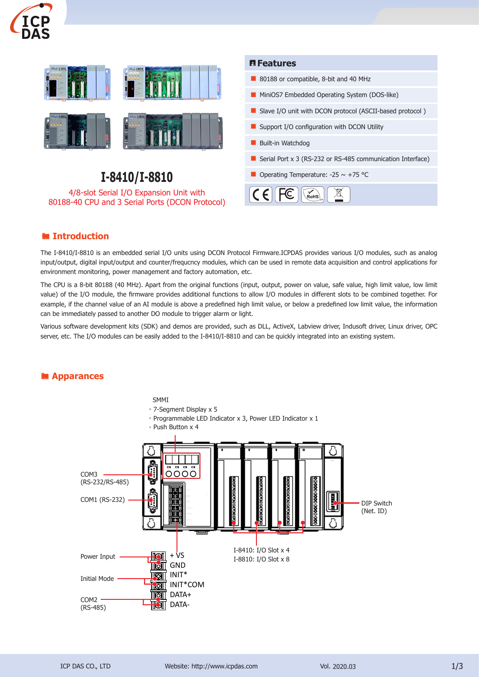



#### ® **Introduction**

The I-8410/I-8810 is an embedded serial I/O units using DCON Protocol Firmware.ICPDAS provides various I/O modules, such as analog input/output, digital input/output and counter/frequcncy modules, which can be used in remote data acquisition and control applications for environment monitoring, power management and factory automation, etc.

The CPU is a 8-bit 80188 (40 MHz). Apart from the original functions (input, output, power on value, safe value, high limit value, low limit value) of the I/O module, the firmware provides additional functions to allow I/O modules in different slots to be combined together. For example, if the channel value of an AI module is above a predefined high limit value, or below a predefined low limit value, the information can be immediately passed to another DO module to trigger alarm or light.

Various software development kits (SDK) and demos are provided, such as DLL, ActiveX, Labview driver, Indusoft driver, Linux driver, OPC server, etc. The I/O modules can be easily added to the I-8410/I-8810 and can be quickly integrated into an existing system.

#### ® **Apparances**

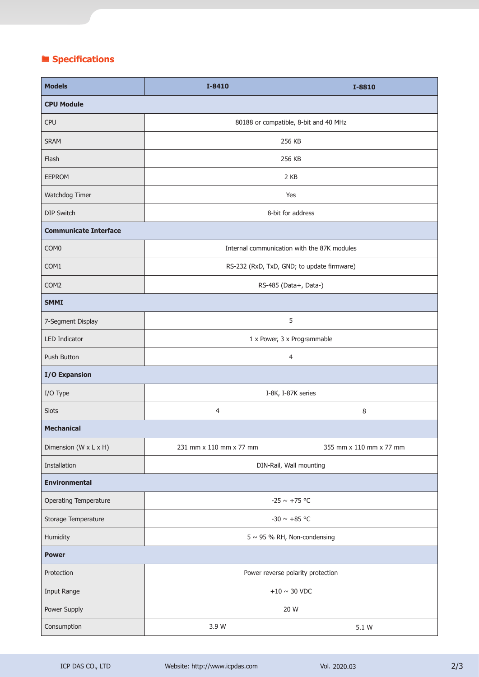# ® **Specifications**

| <b>Models</b>                | I-8410                                      | I-8810                  |  |
|------------------------------|---------------------------------------------|-------------------------|--|
| <b>CPU Module</b>            |                                             |                         |  |
| <b>CPU</b>                   | 80188 or compatible, 8-bit and 40 MHz       |                         |  |
| <b>SRAM</b>                  | 256 KB                                      |                         |  |
| Flash                        | 256 KB                                      |                         |  |
| <b>EEPROM</b>                | 2 KB                                        |                         |  |
| Watchdog Timer               | Yes                                         |                         |  |
| <b>DIP Switch</b>            | 8-bit for address                           |                         |  |
| <b>Communicate Interface</b> |                                             |                         |  |
| COM <sub>0</sub>             | Internal communication with the 87K modules |                         |  |
| COM1                         | RS-232 (RxD, TxD, GND; to update firmware)  |                         |  |
| COM <sub>2</sub>             | RS-485 (Data+, Data-)                       |                         |  |
| <b>SMMI</b>                  |                                             |                         |  |
| 7-Segment Display            | 5                                           |                         |  |
| <b>LED Indicator</b>         | 1 x Power, 3 x Programmable                 |                         |  |
| Push Button                  | 4                                           |                         |  |
| <b>I/O Expansion</b>         |                                             |                         |  |
| I/O Type                     | I-8K, I-87K series                          |                         |  |
| Slots                        | $\overline{4}$                              | 8                       |  |
| <b>Mechanical</b>            |                                             |                         |  |
| Dimension (W x L x H)        | 231 mm x 110 mm x 77 mm                     | 355 mm x 110 mm x 77 mm |  |
| Installation                 | DIN-Rail, Wall mounting                     |                         |  |
| <b>Environmental</b>         |                                             |                         |  |
| Operating Temperature        | $-25 \sim +75$ °C                           |                         |  |
| Storage Temperature          | -30 $\sim$ +85 °C                           |                         |  |
| Humidity                     | $5 \sim 95$ % RH, Non-condensing            |                         |  |
| <b>Power</b>                 |                                             |                         |  |
| Protection                   | Power reverse polarity protection           |                         |  |
| Input Range                  | $+10\sim30$ VDC                             |                         |  |
| Power Supply                 | 20 W                                        |                         |  |
| Consumption                  | 3.9 W                                       | 5.1 W                   |  |